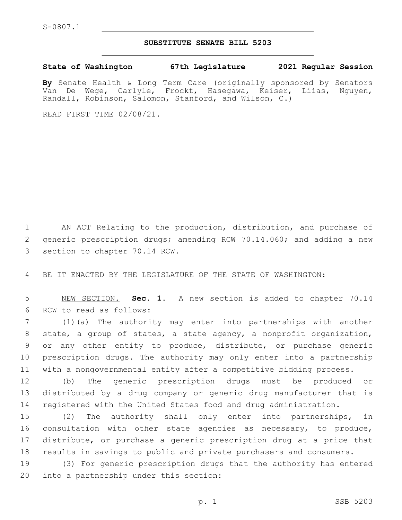## **SUBSTITUTE SENATE BILL 5203**

**State of Washington 67th Legislature 2021 Regular Session**

**By** Senate Health & Long Term Care (originally sponsored by Senators Van De Wege, Carlyle, Frockt, Hasegawa, Keiser, Liias, Nguyen, Randall, Robinson, Salomon, Stanford, and Wilson, C.)

READ FIRST TIME 02/08/21.

1 AN ACT Relating to the production, distribution, and purchase of 2 generic prescription drugs; amending RCW 70.14.060; and adding a new 3 section to chapter 70.14 RCW.

4 BE IT ENACTED BY THE LEGISLATURE OF THE STATE OF WASHINGTON:

5 NEW SECTION. **Sec. 1.** A new section is added to chapter 70.14 6 RCW to read as follows:

 (1)(a) The authority may enter into partnerships with another state, a group of states, a state agency, a nonprofit organization, or any other entity to produce, distribute, or purchase generic prescription drugs. The authority may only enter into a partnership with a nongovernmental entity after a competitive bidding process.

12 (b) The generic prescription drugs must be produced or 13 distributed by a drug company or generic drug manufacturer that is 14 registered with the United States food and drug administration.

 (2) The authority shall only enter into partnerships, in consultation with other state agencies as necessary, to produce, distribute, or purchase a generic prescription drug at a price that results in savings to public and private purchasers and consumers.

19 (3) For generic prescription drugs that the authority has entered 20 into a partnership under this section: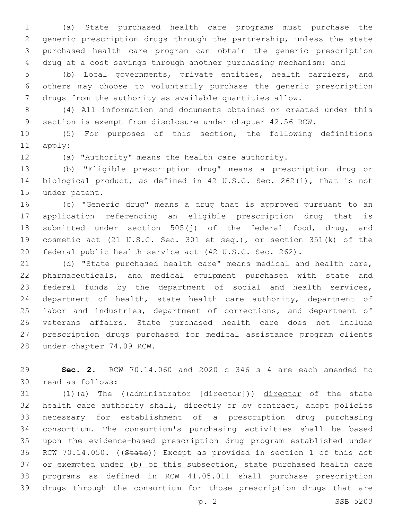(a) State purchased health care programs must purchase the generic prescription drugs through the partnership, unless the state purchased health care program can obtain the generic prescription drug at a cost savings through another purchasing mechanism; and

 (b) Local governments, private entities, health carriers, and others may choose to voluntarily purchase the generic prescription drugs from the authority as available quantities allow.

 (4) All information and documents obtained or created under this section is exempt from disclosure under chapter 42.56 RCW.

 (5) For purposes of this section, the following definitions 11 apply:

(a) "Authority" means the health care authority.

 (b) "Eligible prescription drug" means a prescription drug or biological product, as defined in 42 U.S.C. Sec. 262(i), that is not 15 under patent.

 (c) "Generic drug" means a drug that is approved pursuant to an application referencing an eligible prescription drug that is submitted under section 505(j) of the federal food, drug, and cosmetic act (21 U.S.C. Sec. 301 et seq.), or section 351(k) of the federal public health service act (42 U.S.C. Sec. 262).

 (d) "State purchased health care" means medical and health care, pharmaceuticals, and medical equipment purchased with state and federal funds by the department of social and health services, department of health, state health care authority, department of 25 labor and industries, department of corrections, and department of veterans affairs. State purchased health care does not include prescription drugs purchased for medical assistance program clients 28 under chapter 74.09 RCW.

 **Sec. 2.** RCW 70.14.060 and 2020 c 346 s 4 are each amended to 30 read as follows:

31 (1)(a) The ((administrator [director])) director of the state health care authority shall, directly or by contract, adopt policies necessary for establishment of a prescription drug purchasing consortium. The consortium's purchasing activities shall be based upon the evidence-based prescription drug program established under RCW 70.14.050. ((State)) Except as provided in section 1 of this act 37 or exempted under (b) of this subsection, state purchased health care programs as defined in RCW 41.05.011 shall purchase prescription drugs through the consortium for those prescription drugs that are